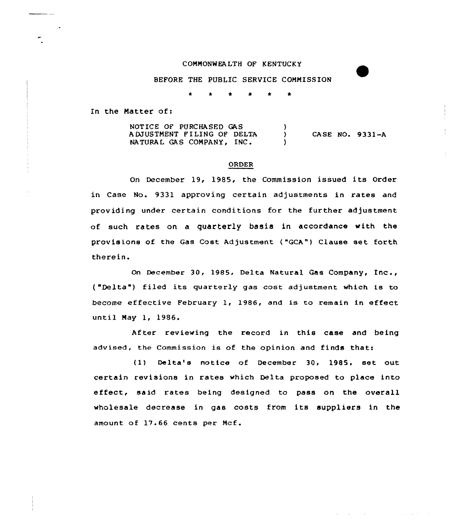### C OMMONWEA LTH OF KENTUCKY

BEFORE THE PUBLIC SERVICE COMMISSION

 $\bullet$ 

In the Natter of:

NOTICE OF PURCHASED GAS <sup>A</sup> DJVSTMENT F I LING OF DELTA CASE NO. 9331-A  $\sum_{i=1}^{n}$ NATURAL GAS COMPANY, INC.  $\mathbf{A}$ 

#### ORDER

On December 19, 1985, the Commission issued its Order in Case No. 9331 approving certain adjustments in rates and providing under certain conditions for the further adjustment of such rates on a quarterly basis in accordance with the provisions of the Gas Cost Adjustment ("GCA") Clause set forth therein.

On December 30, 1985, Delta Natural Gas Company, Inc., {"Delta" ) filed its quarterly gas cost adjustment which is to become effective February 1, 1986, and is to remain in effect until Nay 1, 1986.

After reviewing the record in this case and being advised, the Commission is of the opinion and finds that:

(1) Delta's notice of December 30, 1985, set out certain revisions in rates which Delta proposed to place into effect, said rates being designed to pass on the overall wholesale decrease in gas costs from its suppliers in the amount of 17.66 cents per Mcf.

and the state of the state of the state of

and the state of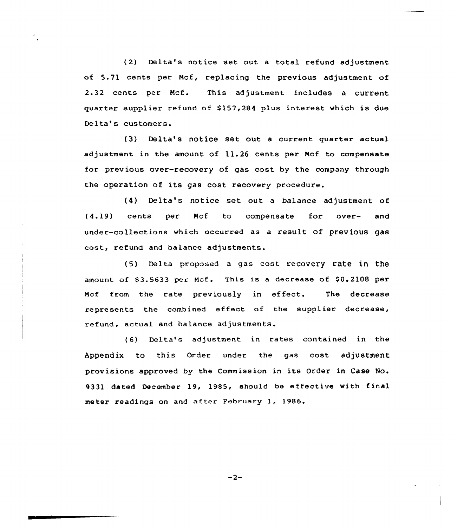(2) Delta's notice set out <sup>a</sup> total refund adjustment of 5.71 cents per Mcf, replacing the previous adjustment of 2.32 cents per Mcf. This adjustment includes a current quarter supplier refund of \$157,284 plus interest which is due Delta's customers.

(3) Delta's notice set out a current quarter actual adjustment in the amount of 11.26 cents per Ncf to compensate for previous over-recovery of gas cost by the company through the operation of its gas cost recovery procedure.

(4) Delta's notice set out a balance adjustment of (4.19) cents per Mcf to compensate for over- and under-collections which occurred as a result of previous gas cost, xefund and balance adjustments.

(5) Delta proposed a gas cost recovery rate in the amount of  $$3.5633$  per Mcf. This is a decrease of  $$0.2108$  per Ncf from the rate previously in effect. The decrease xepresents the combined effect of the supplier decrease, refund, actual and balance adjustments.

(6) Delta's adjustment in rates contained in the Appendix to this Order under the gas cost adjustment provisions approved by the Commission in its Order in Case No. 9331 dated December 19, 1985, should be effective with final meter readings on and after February 1, 1986.

 $-2-$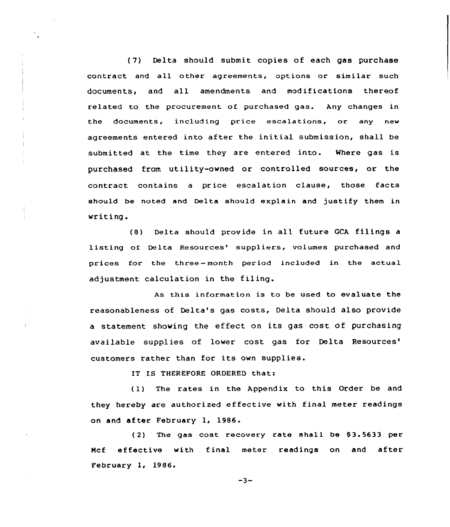(7) Delta should submit copies of each gas purchase contract and all other agreements, options or similar such documents, and all amendments and modifications thereof related to the procurement of purchased gas. Any changes in the documents, including price escalations, or any new agreements entered into after the initial submission, shall be submitted at the time they are entered into. Where gas is purchased from utility-owned or controlled sources, or the contract contains a price escalation clause, those facts should be noted and Delta should explain and justify them in writing.

(S} Delta should provide in all future GCA filings <sup>a</sup> listing of Delta Resources' suppliers, volumes purchased and prices for the three- month period included in the actual adjustment calculation in the filing.

As this information is to be used to evaluate the reasonableness of Delta's gas costs, Delta should also provide <sup>a</sup> statement showing the effect on its gas cost of purchasing available supplies of lower cost gas for Delta customers rather than for its own supplies.

IT IS THEREFORE ORDERED that:

( 1} The rates in the Appendix to this Order be and they hereby are authorized effective with final meter readings on and after February 1, 1986.

(2) The gas cost recovery rate shall be 83.5633 per Mcf effective with final meter readings on and after February 1, 1986.

 $-3-$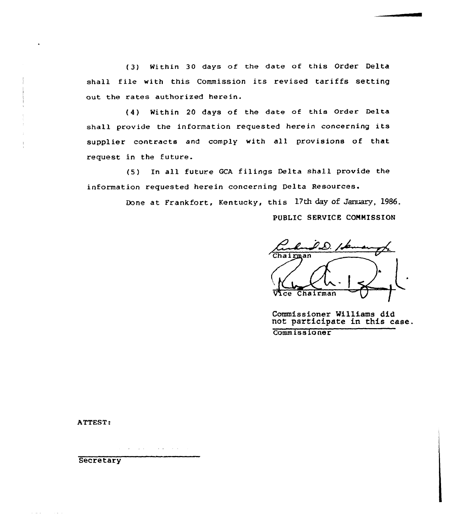(3) Within 30 days of the date of this Order Delta shall file with this Commission its revised tariffs setting out the rates authorized herein.

(4) Within 20 days of the date of this Order Delta shall provide the information requested herein concerning its supplier contracts and comply with all provisions of that request in the future.

(5) In all future GCA filings Delta shall provide the information requested herein concerning Delta Resources.

Done at Frankfort, Kentucky, this 17th day of January, 1986.

PUBLIC SERVICE CONNISSION

Chairman Vice Chairman

Commissioner Williams did not participate in this case. commiss io ner

ATTEST:

 $\mathbf{1}$ 

 $\Delta \sim 10$ contact of the

**Secretary** 

**Service** State

**College**